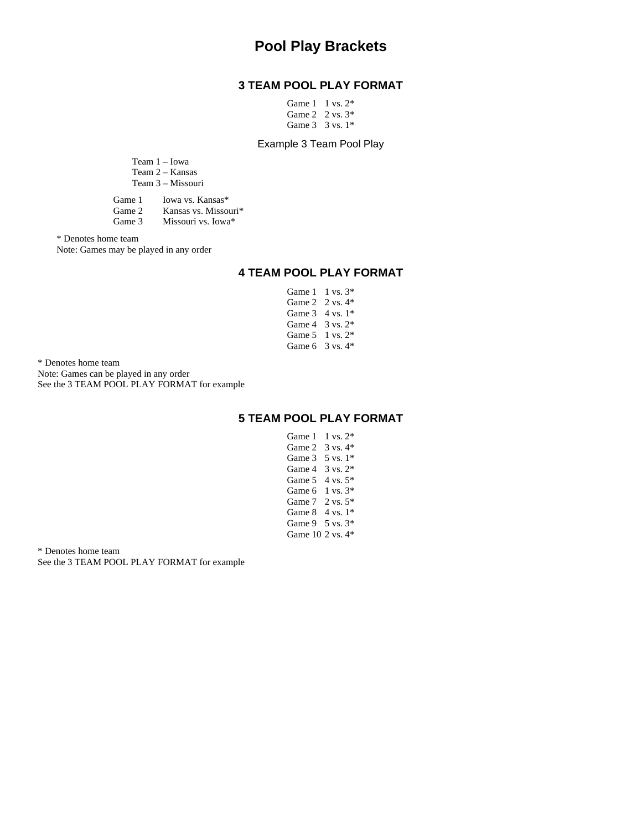# **Pool Play Brackets**

### **3 TEAM POOL PLAY FORMAT**

| Game $1 \t 1$ vs. $2^*$     |  |
|-----------------------------|--|
| Game 2 $2 \text{ vs. } 3^*$ |  |
| Game $3 \times 3$ vs. $1*$  |  |

#### Example 3 Team Pool Play

|           | Team 1 – Iowa<br>Team 2 – Kansas |  |
|-----------|----------------------------------|--|
|           | Team 3 – Missouri                |  |
| $G$ ame 1 | Lowa vs. Kansas*                 |  |

| Grame I | TOWA VS. Kansas      |
|---------|----------------------|
| Game 2  | Kansas vs. Missouri* |
| Game 3  | Missouri vs. Iowa*   |

\* Denotes home team

Note: Games may be played in any order

### **4 TEAM POOL PLAY FORMAT**

Game 1 1 vs. 3\* Game 2 2 vs. 4\* Game 3 4 vs. 1<sup>\*</sup> Game 4 3 vs. 2\* Game 5 1 vs. 2\* Game 6 3 vs. 4\*

\* Denotes home team Note: Games can be played in any order See the 3 TEAM POOL PLAY FORMAT for example

### **5 TEAM POOL PLAY FORMAT**

Game 1 1 vs. 2\* Game 2 3 vs. 4\* Game 3 5 vs. 1<sup>\*</sup> Game 4 3 vs. 2\* Game 5 4 vs. 5\* Game 6 1 vs. 3\* Game 7 2 vs. 5\* Game 8 4 vs. 1\* Game 9 5 vs. 3\* Game 10 2 vs. 4\*

\* Denotes home team See the 3 TEAM POOL PLAY FORMAT for example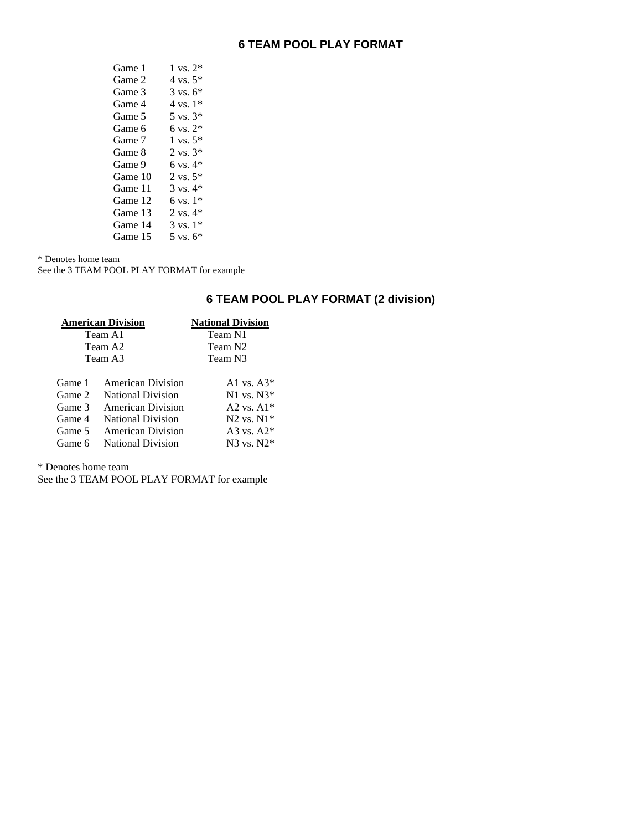| Game 1  | $1 \text{ vs. } 2^*$ |
|---------|----------------------|
| Game 2  | $4 \text{ vs. } 5^*$ |
| Game 3  | $3 \text{ vs. } 6^*$ |
| Game 4  | $4 \text{ vs. } 1*$  |
| Game 5  | $5 \text{ vs. } 3^*$ |
| Game 6  | $6 \text{ vs. } 2^*$ |
| Game 7  | $1 \text{ vs. } 5^*$ |
| Game 8  | $2 \text{ vs. } 3^*$ |
| Game 9  | $6 \text{ vs. } 4^*$ |
| Game 10 | $2 \text{ vs. } 5^*$ |
| Game 11 | $3 \text{ vs. } 4^*$ |
| Game 12 | $6 \text{ vs. } 1*$  |
| Game 13 | $2$ vs. $4*$         |
| Game 14 | $3 \text{ vs. } 1*$  |
| Game 15 | $5 \text{ vs. } 6^*$ |

\* Denotes home team

See the 3 TEAM POOL PLAY FORMAT for example

## **6 TEAM POOL PLAY FORMAT (2 division)**

| <b>American Division</b> |                          | <b>National Division</b> |
|--------------------------|--------------------------|--------------------------|
|                          | Team A1                  | Team N1                  |
|                          | Team A2                  | Team N <sub>2</sub>      |
|                          | Team A3                  | Team N3                  |
| Game 1                   | American Division        | A <sub>1</sub> vs. $A3*$ |
| Game 2                   | <b>National Division</b> | $N1$ vs. $N3*$           |
| Game 3                   | American Division        | A2 vs. $A1*$             |
| Game 4                   | <b>National Division</b> | $N2$ vs. $N1*$           |
| Game 5                   | <b>American Division</b> | A3 vs. $A2*$             |
| Game 6                   | <b>National Division</b> | $N3$ vs. $N2*$           |

\* Denotes home team

See the 3 TEAM POOL PLAY FORMAT for example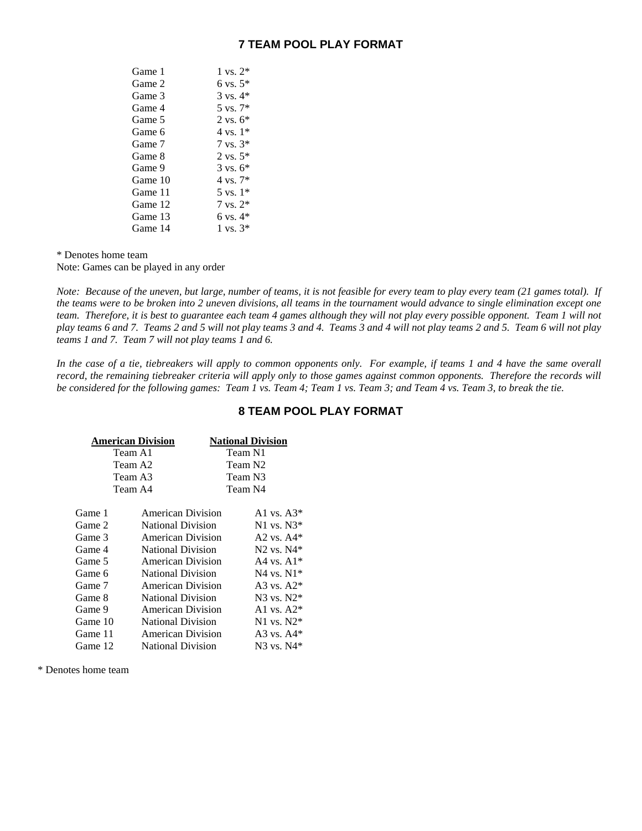| Game 1  | $1 \text{ vs. } 2^*$ |
|---------|----------------------|
| Game 2  | $6 \text{ vs. } 5^*$ |
| Game 3  | $3 \text{ vs. } 4^*$ |
| Game 4  | $5 \text{ vs. } 7^*$ |
| Game 5  | $2 \text{ vs. } 6^*$ |
| Game 6  | $4 \text{ vs. } 1*$  |
| Game 7  | $7 \text{ vs. } 3^*$ |
| Game 8  | $2 \text{ vs. } 5^*$ |
| Game 9  | $3 \text{ vs. } 6^*$ |
| Game 10 | $4 \text{ vs. } 7^*$ |
| Game 11 | $5 \text{ vs. } 1*$  |
| Game 12 | $7 \text{ vs. } 2^*$ |
| Game 13 | 6 vs. $4*$           |
| Game 14 | $1 \text{ vs. } 3^*$ |
|         |                      |

\* Denotes home team

Note: Games can be played in any order

*Note: Because of the uneven, but large, number of teams, it is not feasible for every team to play every team (21 games total). If the teams were to be broken into 2 uneven divisions, all teams in the tournament would advance to single elimination except one team. Therefore, it is best to guarantee each team 4 games although they will not play every possible opponent. Team 1 will not play teams 6 and 7. Teams 2 and 5 will not play teams 3 and 4. Teams 3 and 4 will not play teams 2 and 5. Team 6 will not play teams 1 and 7. Team 7 will not play teams 1 and 6.* 

*In the case of a tie, tiebreakers will apply to common opponents only. For example, if teams 1 and 4 have the same overall record, the remaining tiebreaker criteria will apply only to those games against common opponents. Therefore the records will be considered for the following games: Team 1 vs. Team 4; Team 1 vs. Team 3; and Team 4 vs. Team 3, to break the tie.* 

### **8 TEAM POOL PLAY FORMAT**

| American Division |                          | <b>National Division</b> |
|-------------------|--------------------------|--------------------------|
| Team A1           |                          | Team N1                  |
| Team A2           |                          | Team N2                  |
| Team A3           |                          | Team N3                  |
| Team A4           |                          | Team N4                  |
| Game 1            | American Division        | A1 vs. A3*               |
| Game 2            | <b>National Division</b> | $N1$ vs. $N3*$           |
| Game 3            | American Division        | A <sub>2</sub> vs. $A4*$ |
| Game 4            | <b>National Division</b> | $N2$ vs. $N4*$           |
| Game 5            | American Division        | A4 vs. $A1*$             |
| Game 6            | <b>National Division</b> | $N4$ vs. $N1*$           |
| Game 7            | American Division        | A3 vs. $A2^*$            |
| Game 8            | <b>National Division</b> | $N3$ vs. $N2*$           |
| Game 9            | American Division        | A1 vs. $A2*$             |
| Game 10           | <b>National Division</b> | $N1$ vs. $N2*$           |
| Game 11           | American Division        | A3 vs. $A4*$             |
| Game 12           | <b>National Division</b> | N3 vs. N4*               |

\* Denotes home team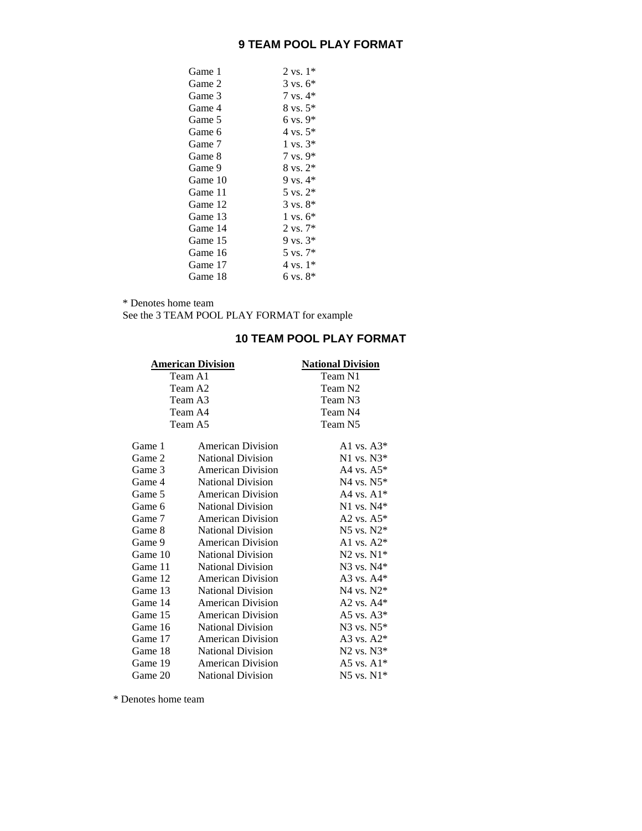| Game 1  | $2 \text{ vs. } 1^*$ |
|---------|----------------------|
| Game 2  | $3 \text{ vs. } 6^*$ |
| Game 3  | $7$ vs. $4*$         |
| Game 4  | $8 \text{ vs. } 5^*$ |
| Game 5  | $6$ vs. $9*$         |
| Game 6  | $4 \text{ vs. } 5^*$ |
| Game 7  | $1 \text{ vs. } 3^*$ |
| Game 8  | $7 \text{ vs. } 9^*$ |
| Game 9  | $8 \text{ vs. } 2^*$ |
| Game 10 | 9 vs. $4*$           |
| Game 11 | $5 \text{ vs. } 2^*$ |
| Game 12 | $3 \text{ vs. } 8^*$ |
| Game 13 | $1 \text{ vs. } 6^*$ |
| Game 14 | $2 \text{ vs. } 7^*$ |
| Game 15 | $9 \text{ vs. } 3^*$ |
| Game 16 | $5 \text{ vs. } 7^*$ |
| Game 17 | $4 \text{ vs. } 1^*$ |
| Game 18 | $6 \text{ vs. } 8^*$ |

\* Denotes home team

See the 3 TEAM POOL PLAY FORMAT for example

## **10 TEAM POOL PLAY FORMAT**

| <b>American Division</b> |                          |
|--------------------------|--------------------------|
| Team A1                  | Team N1                  |
| Team A2                  | Team N <sub>2</sub>      |
| Team A3                  | Team N3                  |
| Team A4                  | Team N4                  |
| Team A5                  | Team N <sub>5</sub>      |
| American Division        | A <sub>1</sub> vs. $A3*$ |
| <b>National Division</b> | $N1$ vs. $N3*$           |
| American Division        | A4 vs. $A5*$             |
| <b>National Division</b> | N4 vs. $N5*$             |
| <b>American Division</b> | A4 vs. $A1*$             |
| <b>National Division</b> | $N1$ vs. $N4*$           |
| American Division        | A <sub>2</sub> vs. $A5*$ |
| <b>National Division</b> | $N5$ vs. $N2*$           |
| American Division        | A <sub>1</sub> vs. $A2*$ |
| <b>National Division</b> | $N2$ vs. $N1*$           |
| <b>National Division</b> | $N3$ vs. $N4*$           |
| American Division        | A3 vs. $A4*$             |
| <b>National Division</b> | $N4$ vs. $N2*$           |
| <b>American Division</b> | A2 vs. $A4*$             |
| American Division        | A5 vs. $A3*$             |
| <b>National Division</b> | N3 vs. N5*               |
| <b>American Division</b> | A3 vs. $A2*$             |
| <b>National Division</b> | $N2$ vs. $N3*$           |
| <b>American Division</b> | A5 vs. $A1*$             |
| <b>National Division</b> | $N5$ vs. $N1*$           |
|                          |                          |

\* Denotes home team